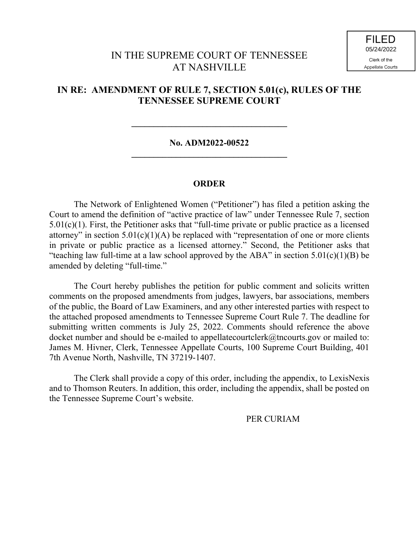## IN THE SUPREME COURT OF TENNESSEE AT NASHVILLE

## **IN RE: AMENDMENT OF RULE 7, SECTION 5.01(c), RULES OF THE TENNESSEE SUPREME COURT**

### **No. ADM2022-00522 \_\_\_\_\_\_\_\_\_\_\_\_\_\_\_\_\_\_\_\_\_\_\_\_\_\_\_\_\_\_\_\_\_\_\_**

**\_\_\_\_\_\_\_\_\_\_\_\_\_\_\_\_\_\_\_\_\_\_\_\_\_\_\_\_\_\_\_\_\_\_\_**

### **ORDER**

The Network of Enlightened Women ("Petitioner") has filed a petition asking the Court to amend the definition of "active practice of law" under Tennessee Rule 7, section  $5.01(c)(1)$ . First, the Petitioner asks that "full-time private or public practice as a licensed attorney" in section  $5.01(c)(1)(A)$  be replaced with "representation of one or more clients in private or public practice as a licensed attorney." Second, the Petitioner asks that "teaching law full-time at a law school approved by the ABA" in section  $5.01(c)(1)(B)$  be amended by deleting "full-time."

The Court hereby publishes the petition for public comment and solicits written comments on the proposed amendments from judges, lawyers, bar associations, members of the public, the Board of Law Examiners, and any other interested parties with respect to the attached proposed amendments to Tennessee Supreme Court Rule 7. The deadline for submitting written comments is July 25, 2022. Comments should reference the above docket number and should be e-mailed to appellatecourtclerk@tncourts.gov or mailed to: James M. Hivner, Clerk, Tennessee Appellate Courts, 100 Supreme Court Building, 401 7th Avenue North, Nashville, TN 37219-1407.

The Clerk shall provide a copy of this order, including the appendix, to LexisNexis and to Thomson Reuters. In addition, this order, including the appendix, shall be posted on the Tennessee Supreme Court's website.

### PER CURIAM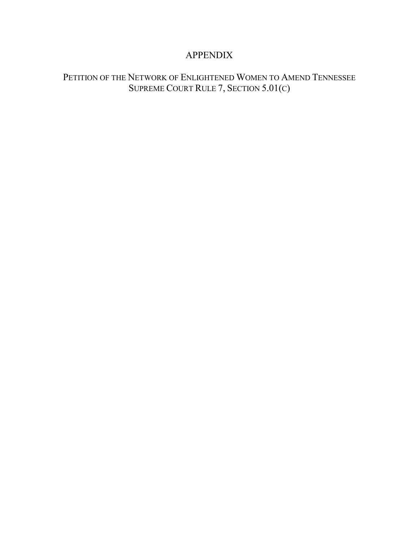# APPENDIX

# PETITION OF THE NETWORK OF ENLIGHTENED WOMEN TO AMEND TENNESSEE SUPREME COURT RULE 7, SECTION 5.01(C)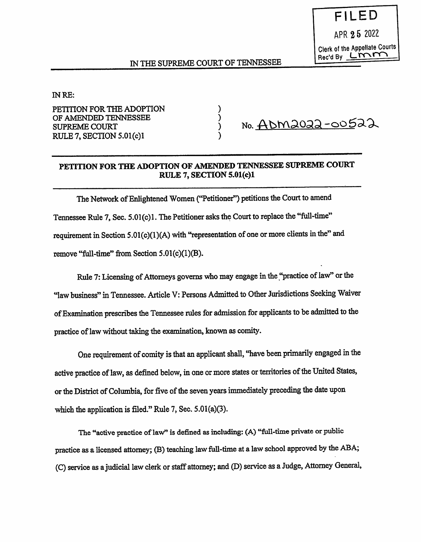)

)

)

#### IN RE:

PETITION FOR THE ADOPTION OF AMENDED TENNESSEE SUPREME COURT RULE 7, SECTION 5.01(c)1

No. <u>ADM2022-005</u>22

### PETITION FOR THE ADOPTION OF AMENDED TENNESSEE SUPREME COURT RULE 7, SECTION 5.01(c)1

The Network of Enlightened Women ("Petitioner") petitions the Court to amend Tennessee Rule 7, Sec. 5.01(c)1. The Petitioner asks the Court to replace the "full-time" requirement in Section  $5.01(c)(1)(A)$  with "representation of one or more clients in the" and remove "full-time" from Section  $5.01(c)(1)(B)$ .

Rule 7: Licensing of Attorneys governs who may engage in the "practice of law" or the "law business" in Tennessee. Article V: Persons Admitted to Other Jurisdictions Seeking Waiver of Examination prescribes the Tennessee rules for admission for applicants to be admitted to the practice of law without taking the examination, known as comity.

One requirement of comity is that an applicant shall, "have been primarily engaged in the active practice of law, as defined below, in one or more states or territories of the United States, or the District of Columbia, for five of the seven years immediately preceding the date upon which the application is filed." Rule 7, Sec. 5.01(a)(3).

The "active practice of law" is defined as including: (A) "full-time private or public practice as <sup>a</sup>licensed attorney; (B) teaching law full-time at a law school approved by the ABA; (C) service as a judicial law clerk or staff attorney; and (D) service as a Judge, Attorney General,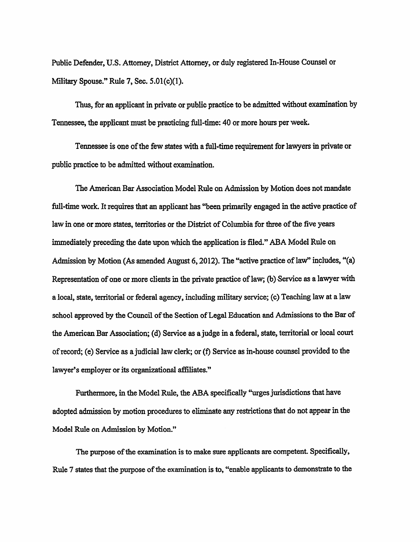Public Defender, U.S. Attorney, District Attorney, or duly registered In-House Counsel or Military Spouse? Rule 7, Sec. 5.01(c)(1).

Thus, for an applicant in private or public practice to be admitted without examination by Tennessee, the applicant must be practicing full-time: 40 or more hours per week.

Tennessee is one of the few states with a full-time requirement for lawyers in private or public practice to be admitted without examination.

The American Bar Association Model Rule on Admission by Motion does not mandate full-time work. It requires that an applicant has "been primarily engaged in the active practice of law in one or more states, territories or the District of Columbia for three of the five years immediately preceding the date upon which the application is filed." ABA Model Rule on Admission by Motion (As amended August 6, 2012). The "active practice of law" includes, "(a) Representation of one or more clients in the private practice of law; (b) Service as a lawyer with a local, state, tenitorial or federal agency, including military service; (c) Teaching law at a law school approved by the Council of the Section of Legal Education and Admissions to the Bar of the American Bar Association; (d) Service as a judge in a federal, state, territorial or local court of record; (e) Service as a judicial law clerk; or (t) Service as in-house counsel provided to the lawyer's employer or its organizational affiliates."

Furthermore, in the Model Rule, the ABA specifically "urges jurisdictions that have adopted admission by motion procedures to eliminate any restrictions that do not appear in the Model Rule on Admission by Motion."

The purpose of the examination is to make sure applicants are competent. Specifically, Rule 7 states that the purpose of the examination is to, "enable applicants to demonstrate to the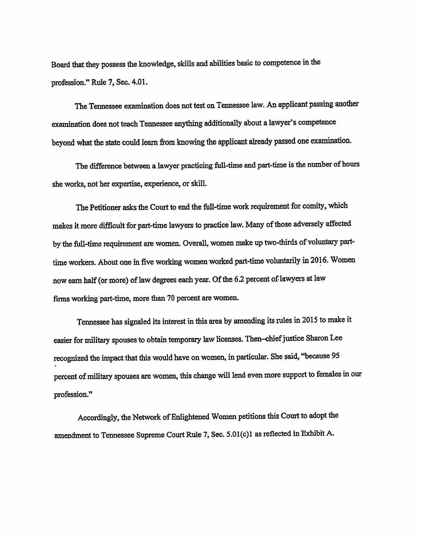Board that they possess the knowledge, skills and abilities basic to competence in the profession?' Rule 7, Sec. 4.01.

The Tennessee examination does not test on Tennessee law. An applicant passing another examination does not teach Tennessee anything additionally about a lawyer's competence beyond what the state could learn from knowing the applicant already passed one examination.

The difference between a lawyer practicing full-time and part-time is the number of hours she works, not her expertise, experience, or skill.

The Petitioner asks the Court to end the full-time work requirement for comity, which makes it more difficult for part-time lawyers to practice law. Many of those adversely affected by the full-time requirement are women. Overall, women make up two-thirds of voluntary parttime workers. About one in five working women worked part-time voluntarily in 2016. Women now earn half (or more) of law degrees each year. Of the 62 percent of lawyers at law firms working part-time, more than 70 percent are women.

Tennessee has signaled its interest in this area by amending its rules in 2015 to make it easier for military spouses to obtain temporary law licenses. Then-chief justice Sharon Lee recognized the impact that this would have on women, in particular. She said, "because 95 percent of military spouses are women, this change will lend even more support to females in our profession."

Accordingly, the Network of Enlightened Women petitions this Court to adopt the amendment to Tennessee Supreme Court Rule 7, Sec. 5.01(c)1 as reflected in Exhibit A.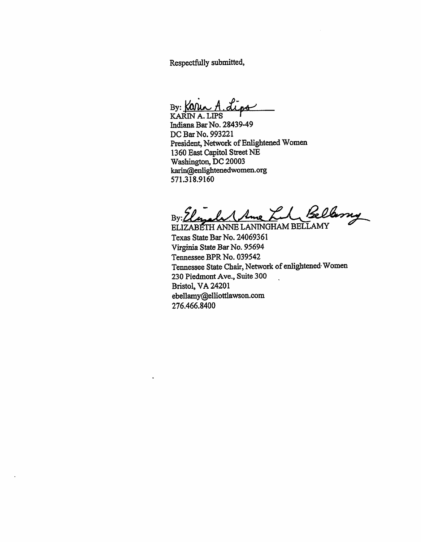Respectfuily submitted,

 $By: K0$ 

KARIN A. LIPS Incliana Bar No. 28439-49 DC Bar No. 993221 President, Network of Enlightened Women 1360 East Capitol Street NE Washington, DC 20003 karin@enlightenedwomen.org 571.318.9160

By: Elizabet Ame Lil, Bellemy

ELIZABETH ANNE LANINGHAM BELLAMY Texas State Bar No. 24069361 Virginia State Bar No. 95694 Tennessee BPR No. 039542 Tennessee State Chair, Network of enlightened- Women 230 Piedmont Ave., Suite 300 Bristol, VA 24201 ebellamy@elliottlawson.com 276.466.8400